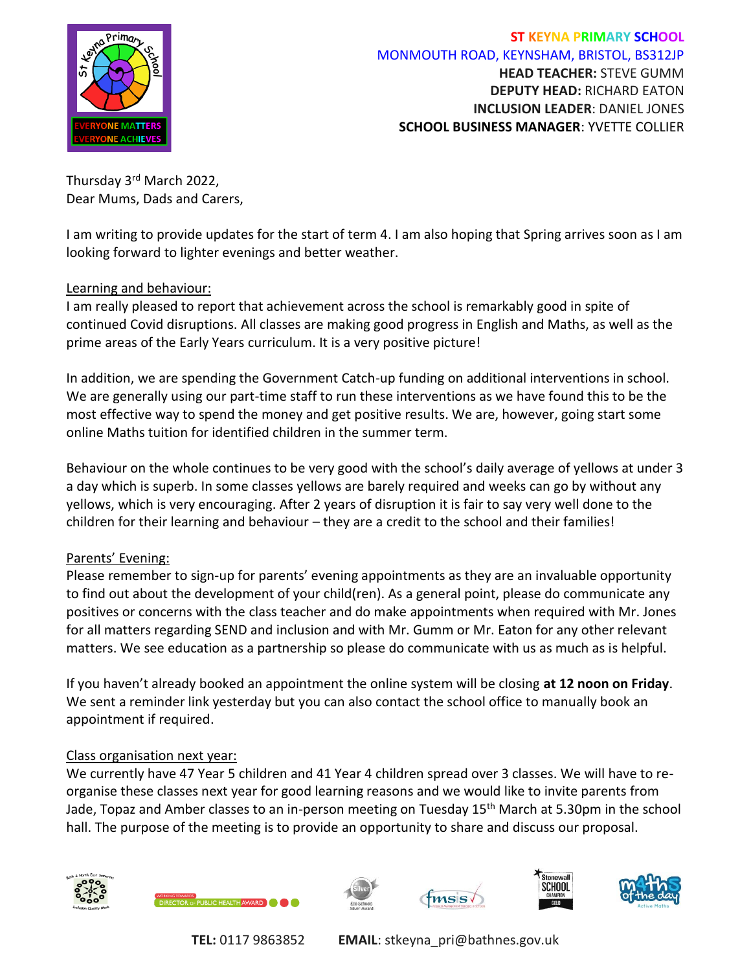

Thursday 3rd March 2022, Dear Mums, Dads and Carers,

I am writing to provide updates for the start of term 4. I am also hoping that Spring arrives soon as I am looking forward to lighter evenings and better weather.

#### Learning and behaviour:

I am really pleased to report that achievement across the school is remarkably good in spite of continued Covid disruptions. All classes are making good progress in English and Maths, as well as the prime areas of the Early Years curriculum. It is a very positive picture!

In addition, we are spending the Government Catch-up funding on additional interventions in school. We are generally using our part-time staff to run these interventions as we have found this to be the most effective way to spend the money and get positive results. We are, however, going start some online Maths tuition for identified children in the summer term.

Behaviour on the whole continues to be very good with the school's daily average of yellows at under 3 a day which is superb. In some classes yellows are barely required and weeks can go by without any yellows, which is very encouraging. After 2 years of disruption it is fair to say very well done to the children for their learning and behaviour – they are a credit to the school and their families!

### Parents' Evening:

Please remember to sign-up for parents' evening appointments as they are an invaluable opportunity to find out about the development of your child(ren). As a general point, please do communicate any positives or concerns with the class teacher and do make appointments when required with Mr. Jones for all matters regarding SEND and inclusion and with Mr. Gumm or Mr. Eaton for any other relevant matters. We see education as a partnership so please do communicate with us as much as is helpful.

If you haven't already booked an appointment the online system will be closing **at 12 noon on Friday**. We sent a reminder link yesterday but you can also contact the school office to manually book an appointment if required.

### Class organisation next year:

We currently have 47 Year 5 children and 41 Year 4 children spread over 3 classes. We will have to reorganise these classes next year for good learning reasons and we would like to invite parents from Jade, Topaz and Amber classes to an in-person meeting on Tuesday 15<sup>th</sup> March at 5.30pm in the school hall. The purpose of the meeting is to provide an opportunity to share and discuss our proposal.











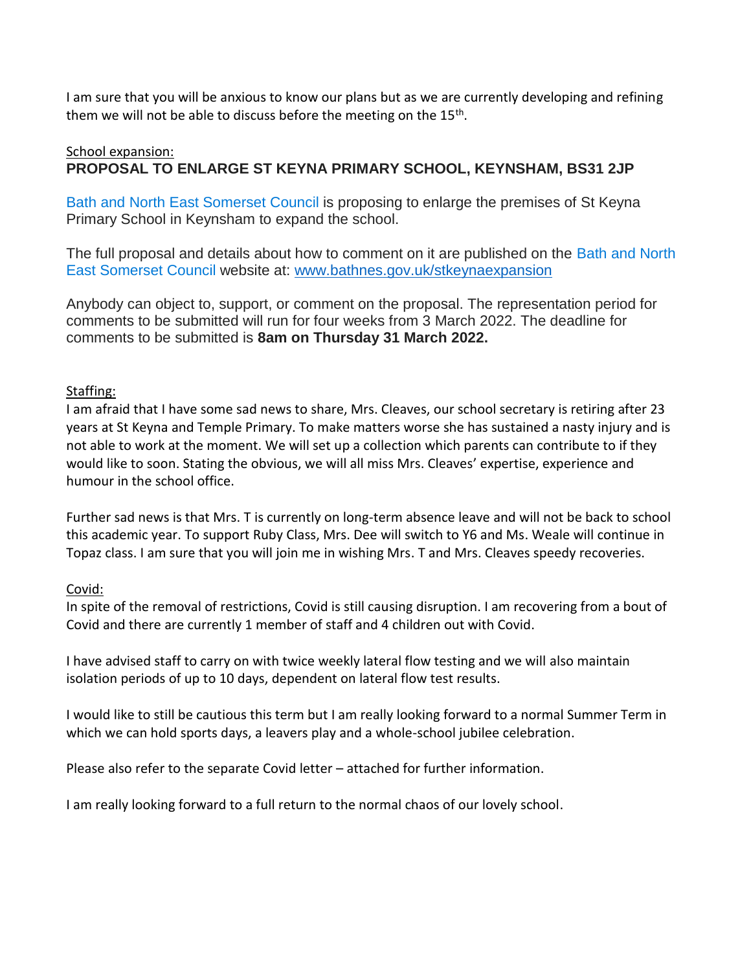I am sure that you will be anxious to know our plans but as we are currently developing and refining them we will not be able to discuss before the meeting on the 15<sup>th</sup>.

# School expansion: **PROPOSAL TO ENLARGE ST KEYNA PRIMARY SCHOOL, KEYNSHAM, BS31 2JP**

Bath and North East Somerset Council is proposing to enlarge the premises of St Keyna Primary School in Keynsham to expand the school.

The full proposal and details about how to comment on it are published on the Bath and North East Somerset Council website at: [www.bathnes.gov.uk/stkeynaexpansion](http://www.bathnes.gov.uk/stkeynaexpansion)

Anybody can object to, support, or comment on the proposal. The representation period for comments to be submitted will run for four weeks from 3 March 2022. The deadline for comments to be submitted is **8am on Thursday 31 March 2022.**

### Staffing:

I am afraid that I have some sad news to share, Mrs. Cleaves, our school secretary is retiring after 23 years at St Keyna and Temple Primary. To make matters worse she has sustained a nasty injury and is not able to work at the moment. We will set up a collection which parents can contribute to if they would like to soon. Stating the obvious, we will all miss Mrs. Cleaves' expertise, experience and humour in the school office.

Further sad news is that Mrs. T is currently on long-term absence leave and will not be back to school this academic year. To support Ruby Class, Mrs. Dee will switch to Y6 and Ms. Weale will continue in Topaz class. I am sure that you will join me in wishing Mrs. T and Mrs. Cleaves speedy recoveries.

# Covid:

In spite of the removal of restrictions, Covid is still causing disruption. I am recovering from a bout of Covid and there are currently 1 member of staff and 4 children out with Covid.

I have advised staff to carry on with twice weekly lateral flow testing and we will also maintain isolation periods of up to 10 days, dependent on lateral flow test results.

I would like to still be cautious this term but I am really looking forward to a normal Summer Term in which we can hold sports days, a leavers play and a whole-school jubilee celebration.

Please also refer to the separate Covid letter – attached for further information.

I am really looking forward to a full return to the normal chaos of our lovely school.